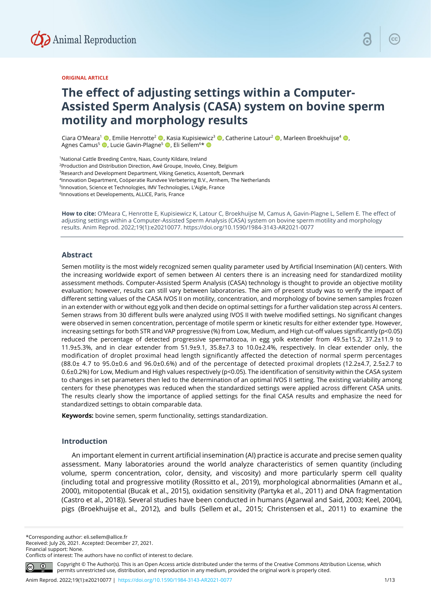

#### **ORIGINAL ARTICLE**

# **The effect of adjusting settings within a Computer-Assisted Sperm Analysis (CASA) system on bovine sperm motility and morphology results**

Ciara O'Meara<sup>1</sup> <sup>(D</sup>, Emilie Henrotte<sup>2</sup> <sup>(D</sup>, Kasia Kupisiewicz<sup>3</sup> (D, Catherine Latour<sup>2</sup> (D, Marleen Broekhuijse<sup>4</sup> (D, Agnes Camus5 , Lucie Gavin-Plagne5 , Eli Sellem6 \*

1National Cattle Breeding Centre, Naas, County Kildare, Ireland 2Production and Distribution Direction, Awé Groupe, Inovéo, Ciney, Belgium 3Research and Development Department, Viking Genetics, Assentoft, Denmark 4Innovation Department, Coöperatie Rundvee Verbetering B.V., Arnhem, The Netherlands 5Innovation, Science et Technologies, IMV Technologies, L'Aigle, France <sup>6</sup>Innovations et Developements, ALLICE, Paris, France

**How to cite:** O'Meara C, Henrotte E, Kupisiewicz K, Latour C, Broekhuijse M, Camus A, Gavin-Plagne L, Sellem E. The effect of adjusting settings within a Computer-Assisted Sperm Analysis (CASA) system on bovine sperm motility and morphology results. Anim Reprod. 2022;19(1):e20210077. https://doi.org/10.1590/1984-3143-AR2021-0077

# **Abstract**

Semen motility is the most widely recognized semen quality parameter used by Artificial Insemination (AI) centers. With the increasing worldwide export of semen between AI centers there is an increasing need for standardized motility assessment methods. Computer-Assisted Sperm Analysis (CASA) technology is thought to provide an objective motility evaluation; however, results can still vary between laboratories. The aim of present study was to verify the impact of different setting values of the CASA IVOS II on motility, concentration, and morphology of bovine semen samples frozen in an extender with or without egg yolk and then decide on optimal settings for a further validation step across AI centers. Semen straws from 30 different bulls were analyzed using IVOS II with twelve modified settings. No significant changes were observed in semen concentration, percentage of motile sperm or kinetic results for either extender type. However, increasing settings for both STR and VAP progressive (%) from Low, Medium, and High cut-off values significantly (p<0.05) reduced the percentage of detected progressive spermatozoa, in egg yolk extender from 49.5±15.2, 37.2±11.9 to 11.9±5.3%, and in clear extender from 51.9±9.1, 35.8±7.3 to 10.0±2.4%, respectively. In clear extender only, the modification of droplet proximal head length significantly affected the detection of normal sperm percentages (88.0± 4.7 to 95.0±0.6 and 96.0±0.6%) and of the percentage of detected proximal droplets (12.2±4.7, 2.5±2.7 to 0.6±0.2%) for Low, Medium and High values respectively (p<0.05). The identification of sensitivity within the CASA system to changes in set parameters then led to the determination of an optimal IVOS II setting. The existing variability among centers for these phenotypes was reduced when the standardized settings were applied across different CASA units. The results clearly show the importance of applied settings for the final CASA results and emphasize the need for standardized settings to obtain comparable data.

**Keywords:** bovine semen, sperm functionality, settings standardization.

# **Introduction**

An important element in current artificial insemination (AI) practice is accurate and precise semen quality assessment. Many laboratories around the world analyze characteristics of semen quantity (including volume, sperm concentration, color, density, and viscosity) and more particularly sperm cell quality (including total and progressive motility (Rossitto et al., 2019), morphological abnormalities (Amann et al., 2000), mitopotential (Bucak et al., 2015), oxidation sensitivity (Partyka et al., 2011) and DNA fragmentation (Castro et al., 2018)). Several studies have been conducted in humans (Agarwal and Said, 2003; Keel, 2004), pigs (Broekhuijse et al., 2012), and bulls (Sellem et al., 2015; Christensen et al., 2011) to examine the

\*Corresponding author: eli.sellem@allice.fr Received: July 26, 2021. Accepted: December 27, 2021. Financial support: None.

Conflicts of interest: The authors have no conflict of interest to declare.

Copyright © The Author(s). This is an Open Access article distributed under the terms of the Creative Commons Attribution License, which permits unrestricted use, distribution, and reproduction in any medium, provided the original work is properly cited.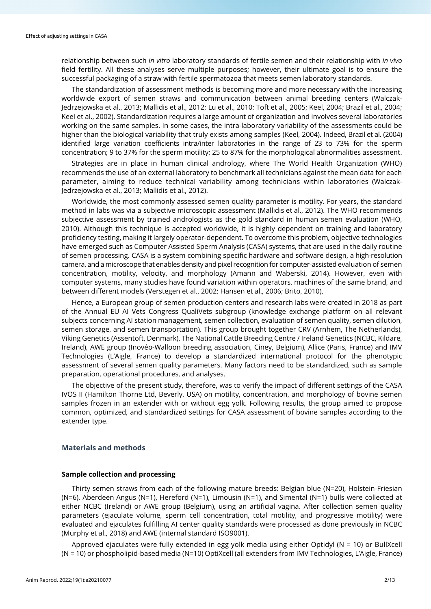relationship between such *in vitro* laboratory standards of fertile semen and their relationship with *in vivo* field fertility. All these analyses serve multiple purposes; however, their ultimate goal is to ensure the successful packaging of a straw with fertile spermatozoa that meets semen laboratory standards.

The standardization of assessment methods is becoming more and more necessary with the increasing worldwide export of semen straws and communication between animal breeding centers (Walczak-Jedrzejowska et al., 2013; Mallidis et al., 2012; Lu et al., 2010; Toft et al., 2005; Keel, 2004; Brazil et al., 2004; Keel et al., 2002). Standardization requires a large amount of organization and involves several laboratories working on the same samples. In some cases, the intra-laboratory variability of the assessments could be higher than the biological variability that truly exists among samples (Keel, 2004). Indeed, Brazil et al. (2004) identified large variation coefficients intra/inter laboratories in the range of 23 to 73% for the sperm concentration; 9 to 37% for the sperm motility; 25 to 87% for the morphological abnormalities assessment.

Strategies are in place in human clinical andrology, where The World Health Organization (WHO) recommends the use of an external laboratory to benchmark all technicians against the mean data for each parameter, aiming to reduce technical variability among technicians within laboratories (Walczak-Jedrzejowska et al., 2013; Mallidis et al., 2012).

Worldwide, the most commonly assessed semen quality parameter is motility. For years, the standard method in labs was via a subjective microscopic assessment (Mallidis et al., 2012). The WHO recommends subjective assessment by trained andrologists as the gold standard in human semen evaluation (WHO, 2010). Although this technique is accepted worldwide, it is highly dependent on training and laboratory proficiency testing, making it largely operator-dependent. To overcome this problem, objective technologies have emerged such as Computer Assisted Sperm Analysis (CASA) systems, that are used in the daily routine of semen processing. CASA is a system combining specific hardware and software design, a high-resolution camera, and a microscope that enables density and pixel recognition for computer-assisted evaluation of semen concentration, motility, velocity, and morphology (Amann and Waberski, 2014). However, even with computer systems, many studies have found variation within operators, machines of the same brand, and between different models (Verstegen et al., 2002; Hansen et al., 2006; Brito, 2010).

Hence, a European group of semen production centers and research labs were created in 2018 as part of the Annual EU AI Vets Congress QualiVets subgroup (knowledge exchange platform on all relevant subjects concerning AI station management, semen collection, evaluation of semen quality, semen dilution, semen storage, and semen transportation). This group brought together CRV (Arnhem, The Netherlands), Viking Genetics (Assentoft, Denmark), The National Cattle Breeding Centre / Ireland Genetics (NCBC, Kildare, Ireland), AWE group (Inovéo-Walloon breeding association, Ciney, Belgium), Allice (Paris, France) and IMV Technologies (L'Aigle, France) to develop a standardized international protocol for the phenotypic assessment of several semen quality parameters. Many factors need to be standardized, such as sample preparation, operational procedures, and analyses.

The objective of the present study, therefore, was to verify the impact of different settings of the CASA IVOS II (Hamilton Thorne Ltd, Beverly, USA) on motility, concentration, and morphology of bovine semen samples frozen in an extender with or without egg yolk. Following results, the group aimed to propose common, optimized, and standardized settings for CASA assessment of bovine samples according to the extender type.

## **Materials and methods**

#### **Sample collection and processing**

Thirty semen straws from each of the following mature breeds: Belgian blue (N=20), Holstein-Friesian (N=6), Aberdeen Angus (N=1), Hereford (N=1), Limousin (N=1), and Simental (N=1) bulls were collected at either NCBC (Ireland) or AWE group (Belgium), using an artificial vagina. After collection semen quality parameters (ejaculate volume, sperm cell concentration, total motility, and progressive motility) were evaluated and ejaculates fulfilling AI center quality standards were processed as done previously in NCBC (Murphy et al., 2018) and AWE (internal standard ISO9001).

Approved ejaculates were fully extended in egg yolk media using either Optidyl (N = 10) or BullXcell (N = 10) or phospholipid-based media (N=10) OptiXcell (all extenders from IMV Technologies, L'Aigle, France)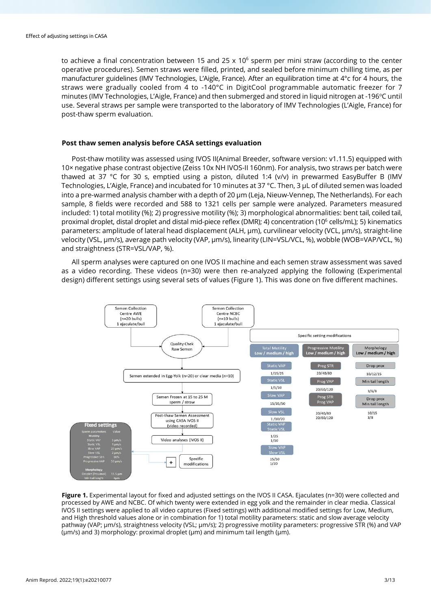to achieve a final concentration between 15 and 25  $\times$  10<sup>6</sup> sperm per mini straw (according to the center operative procedures). Semen straws were filled, printed, and sealed before minimum chilling time, as per manufacturer guidelines (IMV Technologies, L'Aigle, France). After an equilibration time at 4°c for 4 hours, the straws were gradually cooled from 4 to -140°C in DigitCool programmable automatic freezer for 7 minutes (IMV Technologies, L'Aigle, France) and then submerged and stored in liquid nitrogen at -196°C until use. Several straws per sample were transported to the laboratory of IMV Technologies (L'Aigle, France) for post-thaw sperm evaluation.

## **Post thaw semen analysis before CASA settings evaluation**

Post-thaw motility was assessed using IVOS II(Animal Breeder, software version: v1.11.5) equipped with 10× negative phase contrast objective (Zeiss 10x NH IVOS-II 160nm). For analysis, two straws per batch were thawed at 37 °C for 30 s, emptied using a piston, diluted 1:4 (v/v) in prewarmed EasyBuffer B (IMV Technologies, L'Aigle, France) and incubated for 10 minutes at 37 °C. Then, 3 µL of diluted semen was loaded into a pre-warmed analysis chamber with a depth of 20 µm (Leja, Nieuw-Vennep, The Netherlands). For each sample, 8 fields were recorded and 588 to 1321 cells per sample were analyzed. Parameters measured included: 1) total motility (%); 2) progressive motility (%); 3) morphological abnormalities: bent tail, coiled tail, proximal droplet, distal droplet and distal mid-piece reflex (DMR); 4) concentration (106 cells/mL); 5) kinematics parameters: amplitude of lateral head displacement (ALH, µm), curvilinear velocity (VCL, µm/s), straight-line velocity (VSL, µm/s), average path velocity (VAP, µm/s), linearity (LIN=VSL/VCL, %), wobble (WOB=VAP/VCL, %) and straightness (STR=VSL/VAP, %).

All sperm analyses were captured on one IVOS II machine and each semen straw assessment was saved as a video recording. These videos (n=30) were then re-analyzed applying the following (Experimental design) different settings using several sets of values (Figure 1). This was done on five different machines.



**Figure 1.** Experimental layout for fixed and adjusted settings on the IVOS II CASA. Ejaculates (n=30) were collected and processed by AWE and NCBC. Of which twenty were extended in egg yolk and the remainder in clear media. Classical IVOS II settings were applied to all video captures (Fixed settings) with additional modified settings for Low, Medium, and High threshold values alone or in combination for 1) total motility parameters: static and slow average velocity pathway (VAP; µm/s), straightness velocity (VSL; µm/s); 2) progressive motility parameters: progressive STR (%) and VAP  $(\mu m/s)$  and 3) morphology: proximal droplet  $(\mu m)$  and minimum tail length  $(\mu m)$ .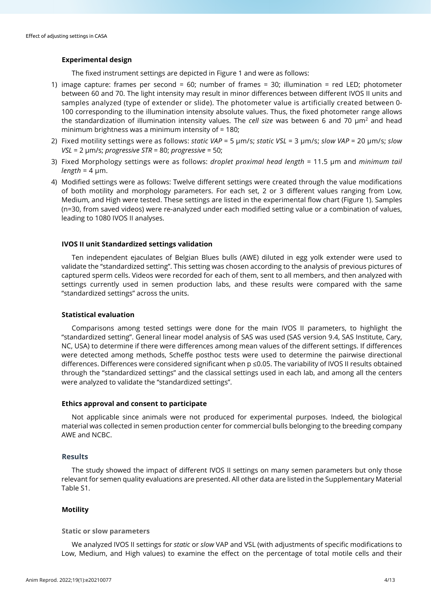## **Experimental design**

The fixed instrument settings are depicted in Figure 1 and were as follows:

- 1) image capture: frames per second = 60; number of frames = 30; illumination = red LED; photometer between 60 and 70. The light intensity may result in minor differences between different IVOS II units and samples analyzed (type of extender or slide). The photometer value is artificially created between 0- 100 corresponding to the illumination intensity absolute values. Thus, the fixed photometer range allows the standardization of illumination intensity values. The *cell size* was between 6 and 70  $\mu$ m<sup>2</sup> and head minimum brightness was a minimum intensity of = 180;
- 2) Fixed motility settings were as follows: *static VAP* = 5 µm/s; *static VSL* = 3 µm/s; *slow VAP* = 20 µm/s; *slow VSL* = 2 µm/s; *progressive STR* = 80; *progressive* = 50;
- 3) Fixed Morphology settings were as follows: *droplet proximal head length* = 11.5 µm and *minimum tail*   $length = 4 \mu m$ .
- 4) Modified settings were as follows: Twelve different settings were created through the value modifications of both motility and morphology parameters. For each set, 2 or 3 different values ranging from Low, Medium, and High were tested. These settings are listed in the experimental flow chart (Figure 1). Samples (n=30, from saved videos) were re-analyzed under each modified setting value or a combination of values, leading to 1080 IVOS II analyses.

## **IVOS II unit Standardized settings validation**

Ten independent ejaculates of Belgian Blues bulls (AWE) diluted in egg yolk extender were used to validate the "standardized setting". This setting was chosen according to the analysis of previous pictures of captured sperm cells. Videos were recorded for each of them, sent to all members, and then analyzed with settings currently used in semen production labs, and these results were compared with the same "standardized settings" across the units.

#### **Statistical evaluation**

Comparisons among tested settings were done for the main IVOS II parameters, to highlight the "standardized setting". General linear model analysis of SAS was used (SAS version 9.4, SAS Institute, Cary, NC, USA) to determine if there were differences among mean values of the different settings. If differences were detected among methods, Scheffe posthoc tests were used to determine the pairwise directional differences. Differences were considered significant when p ≤0.05. The variability of IVOS II results obtained through the "standardized settings" and the classical settings used in each lab, and among all the centers were analyzed to validate the "standardized settings".

#### **Ethics approval and consent to participate**

Not applicable since animals were not produced for experimental purposes. Indeed, the biological material was collected in semen production center for commercial bulls belonging to the breeding company AWE and NCBC.

# **Results**

The study showed the impact of different IVOS II settings on many semen parameters but only those relevant for semen quality evaluations are presented. All other data are listed in the Supplementary Material Table S1.

# **Motility**

#### **Static or slow parameters**

We analyzed IVOS II settings for *static* or *slow* VAP and VSL (with adjustments of specific modifications to Low, Medium, and High values) to examine the effect on the percentage of total motile cells and their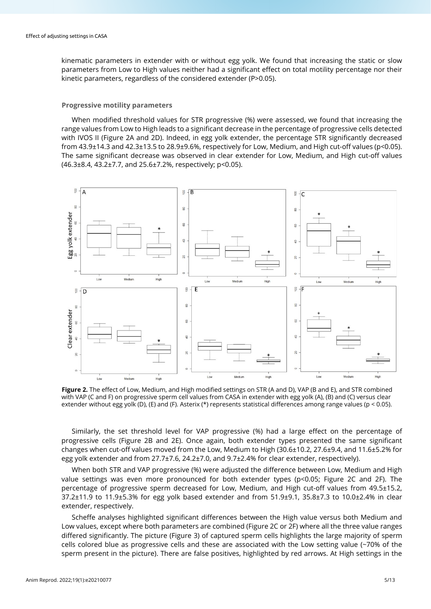kinematic parameters in extender with or without egg yolk. We found that increasing the static or slow parameters from Low to High values neither had a significant effect on total motility percentage nor their kinetic parameters, regardless of the considered extender (P>0.05).

## **Progressive motility parameters**

When modified threshold values for STR progressive (%) were assessed, we found that increasing the range values from Low to High leads to a significant decrease in the percentage of progressive cells detected with IVOS II (Figure 2A and 2D). Indeed, in egg yolk extender, the percentage STR significantly decreased from 43.9±14.3 and 42.3±13.5 to 28.9±9.6%, respectively for Low, Medium, and High cut-off values (p<0.05). The same significant decrease was observed in clear extender for Low, Medium, and High cut-off values (46.3±8.4, 43.2±7.7, and 25.6±7.2%, respectively; p<0.05).



**Figure 2.** The effect of Low, Medium, and High modified settings on STR (A and D), VAP (B and E), and STR combined with VAP (C and F) on progressive sperm cell values from CASA in extender with egg yolk (A), (B) and (C) versus clear extender without egg yolk (D), (E) and (F). Asterix (\*) represents statistical differences among range values (p < 0.05).

Similarly, the set threshold level for VAP progressive (%) had a large effect on the percentage of progressive cells (Figure 2B and 2E). Once again, both extender types presented the same significant changes when cut-off values moved from the Low, Medium to High (30.6±10.2, 27.6±9.4, and 11.6±5.2% for egg yolk extender and from 27.7±7.6, 24.2±7.0, and 9.7±2.4% for clear extender, respectively).

When both STR and VAP progressive (%) were adjusted the difference between Low, Medium and High value settings was even more pronounced for both extender types (p<0.05; Figure 2C and 2F). The percentage of progressive sperm decreased for Low, Medium, and High cut-off values from 49.5±15.2, 37.2 $\pm$ 11.9 to 11.9 $\pm$ 5.3% for egg yolk based extender and from 51.9 $\pm$ 9.1, 35.8 $\pm$ 7.3 to 10.0 $\pm$ 2.4% in clear extender, respectively.

Scheffe analyses highlighted significant differences between the High value versus both Medium and Low values, except where both parameters are combined (Figure 2C or 2F) where all the three value ranges differed significantly. The picture (Figure 3) of captured sperm cells highlights the large majority of sperm cells colored blue as progressive cells and these are associated with the Low setting value (~70% of the sperm present in the picture). There are false positives, highlighted by red arrows. At High settings in the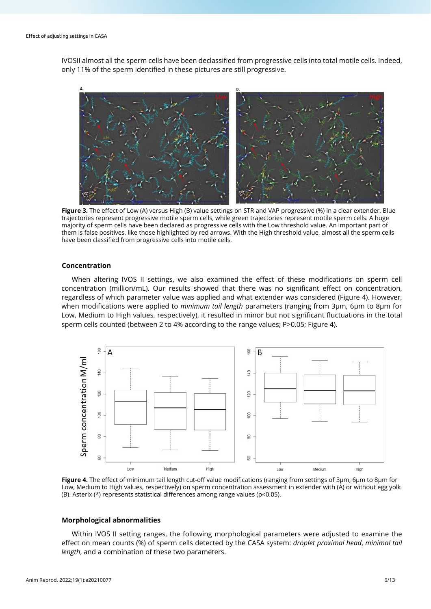IVOSII almost all the sperm cells have been declassified from progressive cells into total motile cells. Indeed, only 11% of the sperm identified in these pictures are still progressive.



**Figure 3.** The effect of Low (A) versus High (B) value settings on STR and VAP progressive (%) in a clear extender. Blue trajectories represent progressive motile sperm cells, while green trajectories represent motile sperm cells. A huge majority of sperm cells have been declared as progressive cells with the Low threshold value. An important part of them is false positives, like those highlighted by red arrows. With the High threshold value, almost all the sperm cells have been classified from progressive cells into motile cells.

# **Concentration**

When altering IVOS II settings, we also examined the effect of these modifications on sperm cell concentration (million/mL). Our results showed that there was no significant effect on concentration, regardless of which parameter value was applied and what extender was considered (Figure 4). However, when modifications were applied to *minimum tail length* parameters (ranging from 3µm, 6µm to 8µm for Low, Medium to High values, respectively), it resulted in minor but not significant fluctuations in the total sperm cells counted (between 2 to 4% according to the range values; P>0.05; Figure 4).



**Figure 4.** The effect of minimum tail length cut-off value modifications (ranging from settings of 3µm, 6µm to 8µm for Low, Medium to High values, respectively) on sperm concentration assessment in extender with (A) or without egg yolk (B). Asterix (\*) represents statistical differences among range values (p<0.05).

#### **Morphological abnormalities**

Within IVOS II setting ranges, the following morphological parameters were adjusted to examine the effect on mean counts (%) of sperm cells detected by the CASA system: *droplet proximal head*, *minimal tail length*, and a combination of these two parameters.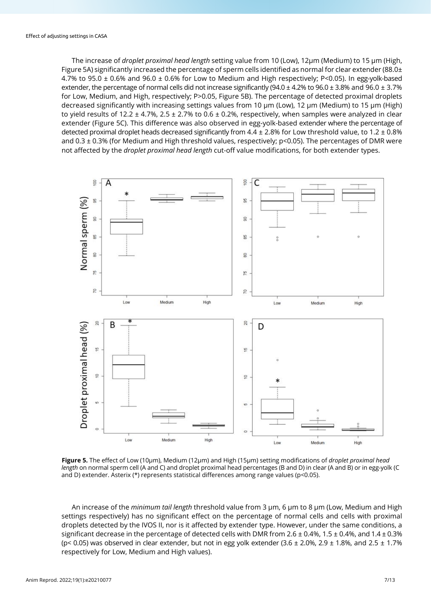The increase of *droplet proximal head length* setting value from 10 (Low), 12µm (Medium) to 15 µm (High, Figure 5A) significantly increased the percentage of sperm cells identified as normal for clear extender (88.0 $\pm$ 4.7% to 95.0  $\pm$  0.6% and 96.0  $\pm$  0.6% for Low to Medium and High respectively: P<0.05). In egg-yolk-based extender, the percentage of normal cells did not increase significantly (94.0  $\pm$  4.2% to 96.0  $\pm$  3.8% and 96.0  $\pm$  3.7% for Low, Medium, and High, respectively; P>0.05, Figure 5B). The percentage of detected proximal droplets decreased significantly with increasing settings values from 10 µm (Low), 12 µm (Medium) to 15 µm (High) to yield results of 12.2  $\pm$  4.7%, 2.5  $\pm$  2.7% to 0.6  $\pm$  0.2%, respectively, when samples were analyzed in clear extender (Figure 5C). This difference was also observed in egg-yolk-based extender where the percentage of detected proximal droplet heads decreased significantly from  $4.4 \pm 2.8\%$  for Low threshold value, to  $1.2 \pm 0.8\%$ and 0.3 ± 0.3% (for Medium and High threshold values, respectively; p<0.05). The percentages of DMR were not affected by the *droplet proximal head length* cut-off value modifications, for both extender types.



**Figure 5.** The effect of Low (10µm), Medium (12µm) and High (15µm) setting modifications of *droplet proximal head length* on normal sperm cell (A and C) and droplet proximal head percentages (B and D) in clear (A and B) or in egg-yolk (C and D) extender. Asterix (\*) represents statistical differences among range values (p<0.05).

An increase of the *minimum tail length* threshold value from 3 µm, 6 µm to 8 µm (Low, Medium and High settings respectively) has no significant effect on the percentage of normal cells and cells with proximal droplets detected by the IVOS II, nor is it affected by extender type. However, under the same conditions, a significant decrease in the percentage of detected cells with DMR from 2.6  $\pm$  0.4%, 1.5  $\pm$  0.4%, and 1.4  $\pm$  0.3% (p< 0.05) was observed in clear extender, but not in egg yolk extender  $(3.6 \pm 2.0\%$ ,  $2.9 \pm 1.8\%$ , and  $2.5 \pm 1.7\%$ respectively for Low, Medium and High values).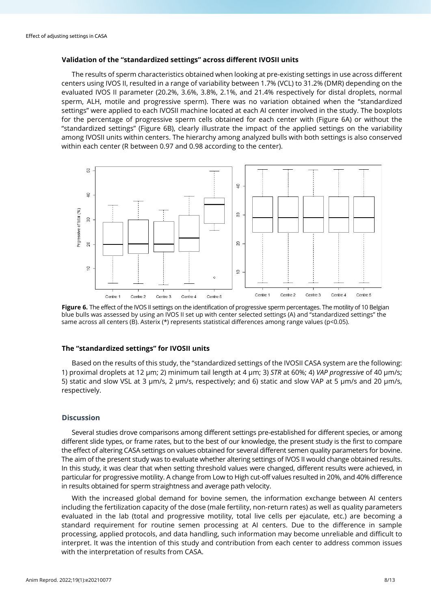# **Validation of the "standardized settings" across different IVOSII units**

The results of sperm characteristics obtained when looking at pre-existing settings in use across different centers using IVOS II, resulted in a range of variability between 1.7% (VCL) to 31.2% (DMR) depending on the evaluated IVOS II parameter (20.2%, 3.6%, 3.8%, 2.1%, and 21.4% respectively for distal droplets, normal sperm, ALH, motile and progressive sperm). There was no variation obtained when the "standardized settings" were applied to each IVOSII machine located at each AI center involved in the study. The boxplots for the percentage of progressive sperm cells obtained for each center with (Figure 6A) or without the "standardized settings" (Figure 6B), clearly illustrate the impact of the applied settings on the variability among IVOSII units within centers. The hierarchy among analyzed bulls with both settings is also conserved within each center (R between 0.97 and 0.98 according to the center).



Figure 6. The effect of the IVOS II settings on the identification of progressive sperm percentages. The motility of 10 Belgian blue bulls was assessed by using an IVOS II set up with center selected settings (A) and "standardized settings" the same across all centers (B). Asterix (\*) represents statistical differences among range values (p<0.05).

#### **The "standardized settings" for IVOSII units**

Based on the results of this study, the "standardized settings of the IVOSII CASA system are the following: 1) proximal droplets at 12 µm; 2) minimum tail length at 4 µm; 3) *STR* at 60%; 4) *VAP progressive* of 40 µm/s; 5) static and slow VSL at 3 µm/s, 2 µm/s, respectively; and 6) static and slow VAP at 5 µm/s and 20 µm/s, respectively.

## **Discussion**

Several studies drove comparisons among different settings pre-established for different species, or among different slide types, or frame rates, but to the best of our knowledge, the present study is the first to compare the effect of altering CASA settings on values obtained for several different semen quality parameters for bovine. The aim of the present study was to evaluate whether altering settings of IVOS II would change obtained results. In this study, it was clear that when setting threshold values were changed, different results were achieved, in particular for progressive motility. A change from Low to High cut-off values resulted in 20%, and 40% difference in results obtained for sperm straightness and average path velocity.

With the increased global demand for bovine semen, the information exchange between AI centers including the fertilization capacity of the dose (male fertility, non-return rates) as well as quality parameters evaluated in the lab (total and progressive motility, total live cells per ejaculate, etc.) are becoming a standard requirement for routine semen processing at AI centers. Due to the difference in sample processing, applied protocols, and data handling, such information may become unreliable and difficult to interpret. It was the intention of this study and contribution from each center to address common issues with the interpretation of results from CASA.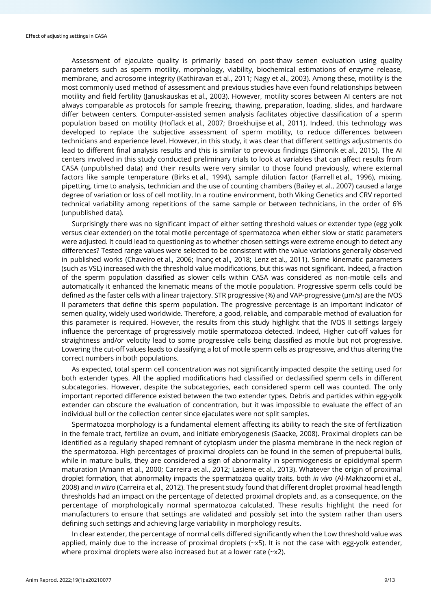Assessment of ejaculate quality is primarily based on post-thaw semen evaluation using quality parameters such as sperm motility, morphology, viability, biochemical estimations of enzyme release, membrane, and acrosome integrity (Kathiravan et al., 2011; Nagy et al., 2003). Among these, motility is the most commonly used method of assessment and previous studies have even found relationships between motility and field fertility (Januskauskas et al., 2003). However, motility scores between AI centers are not always comparable as protocols for sample freezing, thawing, preparation, loading, slides, and hardware differ between centers. Computer-assisted semen analysis facilitates objective classification of a sperm population based on motility (Hoflack et al., 2007; Broekhuijse et al., 2011). Indeed, this technology was developed to replace the subjective assessment of sperm motility, to reduce differences between technicians and experience level. However, in this study, it was clear that different settings adjustments do lead to different final analysis results and this is similar to previous findings (Simonik et al., 2015). The AI centers involved in this study conducted preliminary trials to look at variables that can affect results from CASA (unpublished data) and their results were very similar to those found previously, where external factors like sample temperature (Birks et al., 1994), sample dilution factor (Farrell et al., 1996), mixing, pipetting, time to analysis, technician and the use of counting chambers (Bailey et al., 2007) caused a large degree of variation or loss of cell motility. In a routine environment, both Viking Genetics and CRV reported technical variability among repetitions of the same sample or between technicians, in the order of 6% (unpublished data).

Surprisingly there was no significant impact of either setting threshold values or extender type (egg yolk versus clear extender) on the total motile percentage of spermatozoa when either slow or static parameters were adjusted. It could lead to questioning as to whether chosen settings were extreme enough to detect any differences? Tested range values were selected to be consistent with the value variations generally observed in published works (Chaveiro et al., 2006; İnanç et al., 2018; Lenz et al., 2011). Some kinematic parameters (such as VSL) increased with the threshold value modifications, but this was not significant. Indeed, a fraction of the sperm population classified as slower cells within CASA was considered as non-motile cells and automatically it enhanced the kinematic means of the motile population. Progressive sperm cells could be defined as the faster cells with a linear trajectory. STR progressive (%) and VAP-progressive (µm/s) are the IVOS II parameters that define this sperm population. The progressive percentage is an important indicator of semen quality, widely used worldwide. Therefore, a good, reliable, and comparable method of evaluation for this parameter is required. However, the results from this study highlight that the IVOS II settings largely influence the percentage of progressively motile spermatozoa detected. Indeed, Higher cut-off values for straightness and/or velocity lead to some progressive cells being classified as motile but not progressive. Lowering the cut-off values leads to classifying a lot of motile sperm cells as progressive, and thus altering the correct numbers in both populations.

As expected, total sperm cell concentration was not significantly impacted despite the setting used for both extender types. All the applied modifications had classified or declassified sperm cells in different subcategories. However, despite the subcategories, each considered sperm cell was counted. The only important reported difference existed between the two extender types. Debris and particles within egg-yolk extender can obscure the evaluation of concentration, but it was impossible to evaluate the effect of an individual bull or the collection center since ejaculates were not split samples.

Spermatozoa morphology is a fundamental element affecting its ability to reach the site of fertilization in the female tract, fertilize an ovum, and initiate embryogenesis (Saacke, 2008). Proximal droplets can be identified as a regularly shaped remnant of cytoplasm under the plasma membrane in the neck region of the spermatozoa. High percentages of proximal droplets can be found in the semen of prepubertal bulls, while in mature bulls, they are considered a sign of abnormality in spermiogenesis or epididymal sperm maturation (Amann et al., 2000; Carreira et al., 2012; Lasiene et al., 2013). Whatever the origin of proximal droplet formation, that abnormality impacts the spermatozoa quality traits, both *in vivo* (Al-Makhzoomi et al., 2008) and *in vitro* (Carreira et al., 2012). The present study found that different droplet proximal head length thresholds had an impact on the percentage of detected proximal droplets and, as a consequence, on the percentage of morphologically normal spermatozoa calculated. These results highlight the need for manufacturers to ensure that settings are validated and possibly set into the system rather than users defining such settings and achieving large variability in morphology results.

In clear extender, the percentage of normal cells differed significantly when the Low threshold value was applied, mainly due to the increase of proximal droplets  $(\sim x5)$ . It is not the case with egg-yolk extender, where proximal droplets were also increased but at a lower rate (~x2).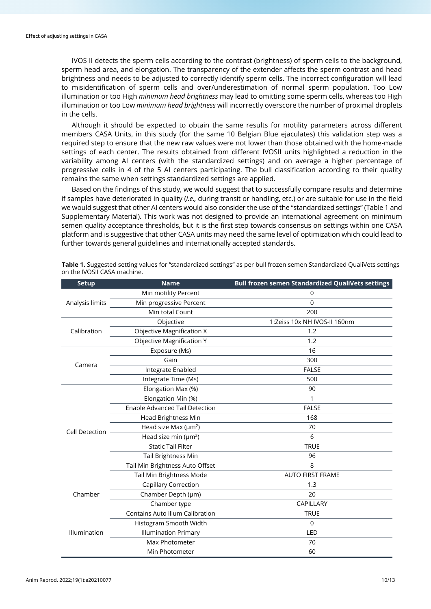IVOS II detects the sperm cells according to the contrast (brightness) of sperm cells to the background, sperm head area, and elongation. The transparency of the extender affects the sperm contrast and head brightness and needs to be adjusted to correctly identify sperm cells. The incorrect configuration will lead to misidentification of sperm cells and over/underestimation of normal sperm population. Too Low illumination or too High *minimum head brightness* may lead to omitting some sperm cells, whereas too High illumination or too Low *minimum head brightness* will incorrectly overscore the number of proximal droplets in the cells.

Although it should be expected to obtain the same results for motility parameters across different members CASA Units, in this study (for the same 10 Belgian Blue ejaculates) this validation step was a required step to ensure that the new raw values were not lower than those obtained with the home-made settings of each center. The results obtained from different IVOSII units highlighted a reduction in the variability among AI centers (with the standardized settings) and on average a higher percentage of progressive cells in 4 of the 5 AI centers participating. The bull classification according to their quality remains the same when settings standardized settings are applied.

Based on the findings of this study, we would suggest that to successfully compare results and determine if samples have deteriorated in quality (*i.e.,* during transit or handling, etc.) or are suitable for use in the field we would suggest that other AI centers would also consider the use of the "standardized settings" (Table 1 and Supplementary Material). This work was not designed to provide an international agreement on minimum semen quality acceptance thresholds, but it is the first step towards consensus on settings within one CASA platform and is suggestive that other CASA units may need the same level of optimization which could lead to further towards general guidelines and internationally accepted standards.

| <b>Setup</b>          | <b>Name</b>                            | <b>Bull frozen semen Standardized QualiVets settings</b> |
|-----------------------|----------------------------------------|----------------------------------------------------------|
| Analysis limits       | Min motility Percent                   | 0                                                        |
|                       | Min progressive Percent                | $\Omega$                                                 |
|                       | Min total Count                        | 200                                                      |
| Calibration           | Objective                              | 1:Zeiss 10x NH IVOS-II 160nm                             |
|                       | <b>Objective Magnification X</b>       | 1.2                                                      |
|                       | <b>Objective Magnification Y</b>       | 1.2                                                      |
| Camera                | Exposure (Ms)                          | 16                                                       |
|                       | Gain                                   | 300                                                      |
|                       | Integrate Enabled                      | <b>FALSE</b>                                             |
|                       | Integrate Time (Ms)                    | 500                                                      |
| <b>Cell Detection</b> | Elongation Max (%)                     | 90                                                       |
|                       | Elongation Min (%)                     | 1                                                        |
|                       | <b>Enable Advanced Tail Detection</b>  | <b>FALSE</b>                                             |
|                       | <b>Head Brightness Min</b>             | 168                                                      |
|                       | Head size Max ( $\mu$ m <sup>2</sup> ) | 70                                                       |
|                       | Head size min ( $\mu$ m <sup>2</sup> ) | 6                                                        |
|                       | <b>Static Tail Filter</b>              | <b>TRUE</b>                                              |
|                       | <b>Tail Brightness Min</b>             | 96                                                       |
|                       | Tail Min Brightness Auto Offset        | 8                                                        |
|                       | Tail Min Brightness Mode               | <b>AUTO FIRST FRAME</b>                                  |
| Chamber               | <b>Capillary Correction</b>            | 1.3                                                      |
|                       | Chamber Depth (µm)                     | 20                                                       |
|                       | Chamber type                           | CAPILLARY                                                |
| Illumination          | Contains Auto illum Calibration        | <b>TRUE</b>                                              |
|                       | Histogram Smooth Width                 | 0                                                        |
|                       | <b>Illumination Primary</b>            | LED                                                      |
|                       | Max Photometer                         | 70                                                       |
|                       | Min Photometer                         | 60                                                       |

**Table 1.** Suggested setting values for "standardized settings" as per bull frozen semen Standardized QualiVets settings on the IVOSII CASA machine.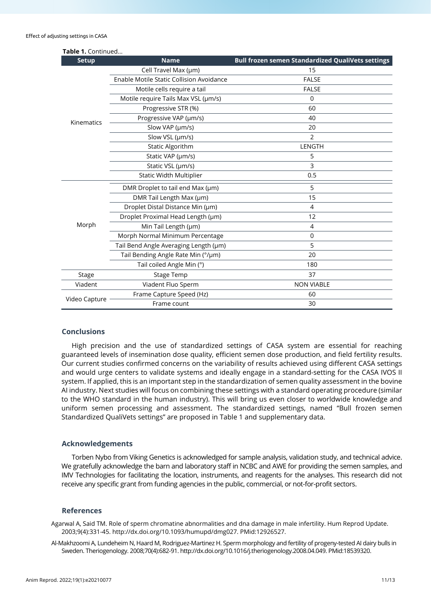| Table 1. Continued |                                          |                                                          |  |
|--------------------|------------------------------------------|----------------------------------------------------------|--|
| <b>Setup</b>       | <b>Name</b>                              | <b>Bull frozen semen Standardized QualiVets settings</b> |  |
| Kinematics         | Cell Travel Max (µm)                     | 15                                                       |  |
|                    | Enable Motile Static Collision Avoidance | <b>FALSE</b>                                             |  |
|                    | Motile cells require a tail              | <b>FALSE</b>                                             |  |
|                    | Motile require Tails Max VSL (µm/s)      | $\Omega$                                                 |  |
|                    | Progressive STR (%)                      | 60                                                       |  |
|                    | Progressive VAP (µm/s)                   | 40                                                       |  |
|                    | Slow VAP (µm/s)                          | 20                                                       |  |
|                    | Slow VSL (µm/s)                          | 2                                                        |  |
|                    | <b>Static Algorithm</b>                  | LENGTH                                                   |  |
|                    | Static VAP (µm/s)                        | 5                                                        |  |
|                    | Static VSL (µm/s)                        | 3                                                        |  |
|                    | <b>Static Width Multiplier</b>           | 0.5                                                      |  |
| Morph              | DMR Droplet to tail end Max (µm)         | 5                                                        |  |
|                    | DMR Tail Length Max (µm)                 | 15                                                       |  |
|                    | Droplet Distal Distance Min (µm)         | 4                                                        |  |
|                    | Droplet Proximal Head Length (µm)        | 12                                                       |  |
|                    | Min Tail Length (µm)                     | 4                                                        |  |
|                    | Morph Normal Minimum Percentage          | $\mathbf 0$                                              |  |
|                    | Tail Bend Angle Averaging Length (um)    | 5                                                        |  |
|                    | Tail Bending Angle Rate Min (°/µm)       | 20                                                       |  |
|                    | Tail coiled Angle Min (°)                | 180                                                      |  |
| Stage              | <b>Stage Temp</b>                        | 37                                                       |  |
| Viadent            | Viadent Fluo Sperm                       | <b>NON VIABLE</b>                                        |  |
| Video Capture      | Frame Capture Speed (Hz)                 | 60                                                       |  |
|                    | Frame count                              | 30                                                       |  |

## **Conclusions**

High precision and the use of standardized settings of CASA system are essential for reaching guaranteed levels of insemination dose quality, efficient semen dose production, and field fertility results. Our current studies confirmed concerns on the variability of results achieved using different CASA settings and would urge centers to validate systems and ideally engage in a standard-setting for the CASA IVOS II system. If applied, this is an important step in the standardization of semen quality assessment in the bovine AI industry. Next studies will focus on combining these settings with a standard operating procedure (similar to the WHO standard in the human industry). This will bring us even closer to worldwide knowledge and uniform semen processing and assessment. The standardized settings, named "Bull frozen semen Standardized QualiVets settings" are proposed in Table 1 and supplementary data.

#### **Acknowledgements**

Torben Nybo from Viking Genetics is acknowledged for sample analysis, validation study, and technical advice. We gratefully acknowledge the barn and laboratory staff in NCBC and AWE for providing the semen samples, and IMV Technologies for facilitating the location, instruments, and reagents for the analyses. This research did not receive any specific grant from funding agencies in the public, commercial, or not-for-profit sectors.

## **References**

Agarwal A, Said TM. Role of sperm chromatine abnormalities and dna damage in male infertility. Hum Reprod Update. 2003;9(4):331-45[. http://dx.doi.org/10.1093/humupd/dmg027.](https://doi.org/10.1093/humupd/dmg027) [PMid:12926527.](https://www.ncbi.nlm.nih.gov/entrez/query.fcgi?cmd=Retrieve&db=PubMed&list_uids=12926527&dopt=Abstract)

Al-Makhzoomi A, Lundeheim N, Haard M, Rodriguez-Martinez H. Sperm morphology and fertility of progeny-tested AI dairy bulls in Sweden. Theriogenology. 2008;70(4):682-91[. http://dx.doi.org/10.1016/j.theriogenology.2008.04.049.](https://doi.org/10.1016/j.theriogenology.2008.04.049) [PMid:18539320.](https://www.ncbi.nlm.nih.gov/entrez/query.fcgi?cmd=Retrieve&db=PubMed&list_uids=18539320&dopt=Abstract)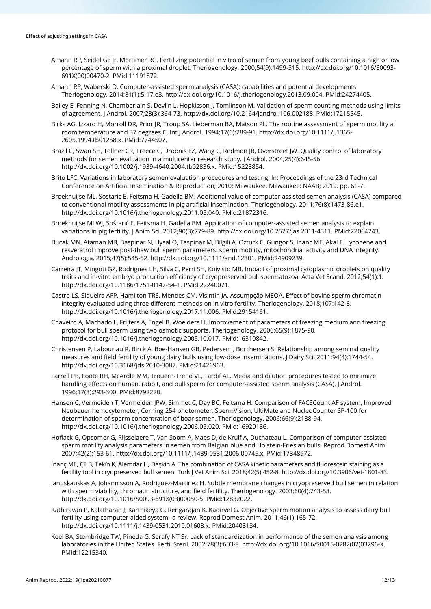- Amann RP, Seidel GE Jr, Mortimer RG. Fertilizing potential in vitro of semen from young beef bulls containing a high or low percentage of sperm with a proximal droplet. Theriogenology. 2000;54(9):1499-515[. http://dx.doi.org/10.1016/S0093-](https://doi.org/10.1016/S0093-691X(00)00470-2) [691X\(00\)00470-2.](https://doi.org/10.1016/S0093-691X(00)00470-2) [PMid:11191872.](https://www.ncbi.nlm.nih.gov/entrez/query.fcgi?cmd=Retrieve&db=PubMed&list_uids=11191872&dopt=Abstract)
- Amann RP, Waberski D. Computer-assisted sperm analysis (CASA): capabilities and potential developments. Theriogenology. 2014;81(1):5-17.e3[. http://dx.doi.org/10.1016/j.theriogenology.2013.09.004.](https://doi.org/10.1016/j.theriogenology.2013.09.004) [PMid:24274405.](https://www.ncbi.nlm.nih.gov/entrez/query.fcgi?cmd=Retrieve&db=PubMed&list_uids=24274405&dopt=Abstract)
- Bailey E, Fenning N, Chamberlain S, Devlin L, Hopkisson J, Tomlinson M. Validation of sperm counting methods using limits of agreement. J Androl. 2007;28(3):364-73[. http://dx.doi.org/10.2164/jandrol.106.002188.](https://doi.org/10.2164/jandrol.106.002188) [PMid:17215545.](https://www.ncbi.nlm.nih.gov/entrez/query.fcgi?cmd=Retrieve&db=PubMed&list_uids=17215545&dopt=Abstract)
- Birks AG, Izzard H, Morroll DR, Prior IR, Troup SA, Lieberman BA, Matson PL, The routine assessment of sperm motility at room temperature and 37 degrees C. Int J Androl. 1994;17(6):289-91. [http://dx.doi.org/10.1111/j.1365-](https://doi.org/10.1111/j.1365-2605.1994.tb01258.x) [2605.1994.tb01258.x.](https://doi.org/10.1111/j.1365-2605.1994.tb01258.x) [PMid:7744507.](https://www.ncbi.nlm.nih.gov/entrez/query.fcgi?cmd=Retrieve&db=PubMed&list_uids=7744507&dopt=Abstract)
- Brazil C, Swan SH, Tollner CR, Treece C, Drobnis EZ, Wang C, Redmon JB, Overstreet JW. Quality control of laboratory methods for semen evaluation in a multicenter research study. J Androl. 2004;25(4):645-56. [http://dx.doi.org/10.1002/j.1939-4640.2004.tb02836.x.](https://doi.org/10.1002/j.1939-4640.2004.tb02836.x) [PMid:15223854.](https://www.ncbi.nlm.nih.gov/entrez/query.fcgi?cmd=Retrieve&db=PubMed&list_uids=15223854&dopt=Abstract)
- Brito LFC. Variations in laboratory semen evaluation procedures and testing. In: Proceedings of the 23rd Technical Conference on Artificial Insemination & Reproduction; 2010; Milwaukee. Milwaukee: NAAB; 2010. pp. 61-7.
- Broekhuijse ML, Sostaric E, Feitsma H, Gadella BM. Additional value of computer assisted semen analysis (CASA) compared to conventional motility assessments in pig artificial insemination. Theriogenology. 2011;76(8):1473-86.e1. [http://dx.doi.org/10.1016/j.theriogenology.2011.05.040.](https://doi.org/10.1016/j.theriogenology.2011.05.040) [PMid:21872316.](https://www.ncbi.nlm.nih.gov/entrez/query.fcgi?cmd=Retrieve&db=PubMed&list_uids=21872316&dopt=Abstract)
- Broekhuijse MLWJ, Šoštarić E, Feitsma H, Gadella BM. Application of computer-assisted semen analysis to explain variations in pig fertility. J Anim Sci. 2012;90(3):779-89. [http://dx.doi.org/10.2527/jas.2011-4311.](https://doi.org/10.2527/jas.2011-4311) [PMid:22064743.](https://www.ncbi.nlm.nih.gov/entrez/query.fcgi?cmd=Retrieve&db=PubMed&list_uids=22064743&dopt=Abstract)
- Bucak MN, Ataman MB, Baspinar N, Uysal O, Taspinar M, Bilgili A, Ozturk C, Gungor S, Inanc ME, Akal E. Lycopene and resveratrol improve post-thaw bull sperm parameters: sperm motility, mitochondrial activity and DNA integrity. Andrologia. 2015;47(5):545-52. [http://dx.doi.org/10.1111/and.12301.](https://doi.org/10.1111/and.12301) [PMid:24909239.](https://www.ncbi.nlm.nih.gov/entrez/query.fcgi?cmd=Retrieve&db=PubMed&list_uids=24909239&dopt=Abstract)
- Carreira JT, Mingoti GZ, Rodrigues LH, Silva C, Perri SH, Koivisto MB. Impact of proximal cytoplasmic droplets on quality traits and in-vitro embryo production efficiency of cryopreserved bull spermatozoa. Acta Vet Scand. 2012;54(1):1. [http://dx.doi.org/10.1186/1751-0147-54-1.](https://doi.org/10.1186/1751-0147-54-1) [PMid:22240071.](https://www.ncbi.nlm.nih.gov/entrez/query.fcgi?cmd=Retrieve&db=PubMed&list_uids=22240071&dopt=Abstract)
- Castro LS, Siqueira AFP, Hamilton TRS, Mendes CM, Visintin JA, Assumpção MEOA. Effect of bovine sperm chromatin integrity evaluated using three different methods on in vitro fertility. Theriogenology. 2018;107:142-8. [http://dx.doi.org/10.1016/j.theriogenology.2017.11.006.](https://doi.org/10.1016/j.theriogenology.2017.11.006) [PMid:29154161.](https://www.ncbi.nlm.nih.gov/entrez/query.fcgi?cmd=Retrieve&db=PubMed&list_uids=29154161&dopt=Abstract)
- Chaveiro A, Machado L, Frijters A, Engel B, Woelders H. Improvement of parameters of freezing medium and freezing protocol for bull sperm using two osmotic supports. Theriogenology. 2006;65(9):1875-90. [http://dx.doi.org/10.1016/j.theriogenology.2005.10.017.](https://doi.org/10.1016/j.theriogenology.2005.10.017) [PMid:16310842.](https://www.ncbi.nlm.nih.gov/entrez/query.fcgi?cmd=Retrieve&db=PubMed&list_uids=16310842&dopt=Abstract)
- Christensen P, Labouriau R, Birck A, Boe-Hansen GB, Pedersen J, Borchersen S. Relationship among seminal quality measures and field fertility of young dairy bulls using low-dose inseminations. J Dairy Sci. 2011;94(4):1744-54. [http://dx.doi.org/10.3168/jds.2010-3087.](https://doi.org/10.3168/jds.2010-3087) [PMid:21426963.](https://www.ncbi.nlm.nih.gov/entrez/query.fcgi?cmd=Retrieve&db=PubMed&list_uids=21426963&dopt=Abstract)
- Farrell PB, Foote RH, McArdle MM, Trouern-Trend VL, Tardif AL. Media and dilution procedures tested to minimize handling effects on human, rabbit, and bull sperm for computer-assisted sperm analysis (CASA). J Androl. 1996;17(3):293-300. [PMid:8792220.](https://www.ncbi.nlm.nih.gov/entrez/query.fcgi?cmd=Retrieve&db=PubMed&list_uids=8792220&dopt=Abstract)
- Hansen C, Vermeiden T, Vermeiden JPW, Simmet C, Day BC, Feitsma H. Comparison of FACSCount AF system, Improved Neubauer hemocytometer, Corning 254 photometer, SpermVision, UltiMate and NucleoCounter SP-100 for determination of sperm concentration of boar semen. Theriogenology. 2006;66(9):2188-94. [http://dx.doi.org/10.1016/j.theriogenology.2006.05.020.](https://doi.org/10.1016/j.theriogenology.2006.05.020) [PMid:16920186.](https://www.ncbi.nlm.nih.gov/entrez/query.fcgi?cmd=Retrieve&db=PubMed&list_uids=16920186&dopt=Abstract)
- Hoflack G, Opsomer G, Rijsselaere T, Van Soom A, Maes D, de Kruif A, Duchateau L. Comparison of computer-assisted sperm motility analysis parameters in semen from Belgian blue and Holstein-Friesian bulls. Reprod Domest Anim. 2007;42(2):153-61[. http://dx.doi.org/10.1111/j.1439-0531.2006.00745.x.](https://doi.org/10.1111/j.1439-0531.2006.00745.x) [PMid:17348972.](https://www.ncbi.nlm.nih.gov/entrez/query.fcgi?cmd=Retrieve&db=PubMed&list_uids=17348972&dopt=Abstract)
- İnanç ME, Çi̇l B, Teki̇n K, Alemdar H, Daşkin A. The combination of CASA kinetic parameters and fluorescein staining as a fertility tool in cryopreserved bull semen. Turk J Vet Anim Sci. 2018;42(5):452-8[. http://dx.doi.org/10.3906/vet-1801-83.](https://doi.org/10.3906/vet-1801-83)
- Januskauskas A, Johannisson A, Rodriguez-Martinez H. Subtle membrane changes in cryopreserved bull semen in relation with sperm viability, chromatin structure, and field fertility. Theriogenology. 2003;60(4):743-58. [http://dx.doi.org/10.1016/S0093-691X\(03\)00050-5.](https://doi.org/10.1016/S0093-691X(03)00050-5) [PMid:12832022.](https://www.ncbi.nlm.nih.gov/entrez/query.fcgi?cmd=Retrieve&db=PubMed&list_uids=12832022&dopt=Abstract)
- Kathiravan P, Kalatharan J, Karthikeya G, Rengarajan K, Kadirvel G. Objective sperm motion analysis to assess dairy bull fertility using computer-aided system--a review. Reprod Domest Anim. 2011;46(1):165-72. [http://dx.doi.org/10.1111/j.1439-0531.2010.01603.x.](https://doi.org/10.1111/j.1439-0531.2010.01603.x) [PMid:20403134.](https://www.ncbi.nlm.nih.gov/entrez/query.fcgi?cmd=Retrieve&db=PubMed&list_uids=20403134&dopt=Abstract)
- Keel BA, Stembridge TW, Pineda G, Serafy NT Sr. Lack of standardization in performance of the semen analysis among laboratories in the United States. Fertil Steril. 2002;78(3):603-8[. http://dx.doi.org/10.1016/S0015-0282\(02\)03296-X](https://doi.org/10.1016/S0015-0282(02)03296-X)[.](https://www.ncbi.nlm.nih.gov/entrez/query.fcgi?cmd=Retrieve&db=PubMed&list_uids=12215340&dopt=Abstract) [PMid:12215340.](https://www.ncbi.nlm.nih.gov/entrez/query.fcgi?cmd=Retrieve&db=PubMed&list_uids=12215340&dopt=Abstract)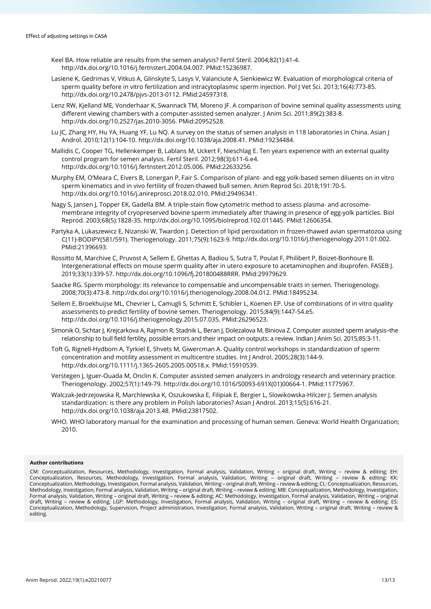- Keel BA. How reliable are results from the semen analysis? Fertil Steril. 2004;82(1):41-4. [http://dx.doi.org/10.1016/j.fertnstert.2004.04.007.](https://doi.org/10.1016/j.fertnstert.2004.04.007) [PMid:15236987.](https://www.ncbi.nlm.nih.gov/entrez/query.fcgi?cmd=Retrieve&db=PubMed&list_uids=15236987&dopt=Abstract)
- Lasiene K, Gedrimas V, Vitkus A, Glinskyte S, Lasys V, Valanciute A, Sienkiewicz W. Evaluation of morphological criteria of sperm quality before in vitro fertilization and intracytoplasmic sperm injection. Pol J Vet Sci. 2013;16(4):773-85. [http://dx.doi.org/10.2478/pjvs-2013-0112.](https://doi.org/10.2478/pjvs-2013-0112) [PMid:24597318.](https://www.ncbi.nlm.nih.gov/entrez/query.fcgi?cmd=Retrieve&db=PubMed&list_uids=24597318&dopt=Abstract)
- Lenz RW, Kjelland ME, Vonderhaar K, Swannack TM, Moreno JF. A comparison of bovine seminal quality assessments using different viewing chambers with a computer-assisted semen analyzer. J Anim Sci. 2011;89(2):383-8. [http://dx.doi.org/10.2527/jas.2010-3056.](https://doi.org/10.2527/jas.2010-3056) [PMid:20952528.](https://www.ncbi.nlm.nih.gov/entrez/query.fcgi?cmd=Retrieve&db=PubMed&list_uids=20952528&dopt=Abstract)
- Lu JC, Zhang HY, Hu YA, Huang YF, Lu NO. A survey on the status of semen analysis in 118 laboratories in China. Asian J Androl. 2010;12(1):104-10[. http://dx.doi.org/10.1038/aja.2008.41.](https://doi.org/10.1038/aja.2008.41) [PMid:19234484.](https://www.ncbi.nlm.nih.gov/entrez/query.fcgi?cmd=Retrieve&db=PubMed&list_uids=19234484&dopt=Abstract)
- Mallidis C, Cooper TG, Hellenkemper B, Lablans M, Uckert F, Nieschlag E. Ten years experience with an external quality control program for semen analysis. Fertil Steril. 2012;98(3):611-6.e4. [http://dx.doi.org/10.1016/j.fertnstert.2012.05.006.](https://doi.org/10.1016/j.fertnstert.2012.05.006) [PMid:22633256.](https://www.ncbi.nlm.nih.gov/entrez/query.fcgi?cmd=Retrieve&db=PubMed&list_uids=22633256&dopt=Abstract)
- Murphy EM, O'Meara C, Eivers B, Lonergan P, Fair S. Comparison of plant- and egg yolk-based semen diluents on in vitro sperm kinematics and in vivo fertility of frozen-thawed bull semen. Anim Reprod Sci. 2018;191:70-5. [http://dx.doi.org/10.1016/j.anireprosci.2018.02.010.](https://doi.org/10.1016/j.anireprosci.2018.02.010) [PMid:29496341.](https://www.ncbi.nlm.nih.gov/entrez/query.fcgi?cmd=Retrieve&db=PubMed&list_uids=29496341&dopt=Abstract)
- Nagy S, Jansen J, Topper EK, Gadella BM. A triple-stain flow cytometric method to assess plasma- and acrosomemembrane integrity of cryopreserved bovine sperm immediately after thawing in presence of egg-yolk particles. Biol Reprod. 2003;68(5):1828-35[. http://dx.doi.org/10.1095/biolreprod.102.011445.](https://doi.org/10.1095/biolreprod.102.011445) [PMid:12606354.](https://www.ncbi.nlm.nih.gov/entrez/query.fcgi?cmd=Retrieve&db=PubMed&list_uids=12606354&dopt=Abstract)
- Partyka A, Lukaszewicz E, Nizanski W, Twardon J. Detection of lipid peroxidation in frozen-thawed avian spermatozoa using C(11)-BODIPY(581/591). Theriogenology. 2011;75(9):1623-9[. http://dx.doi.org/10.1016/j.theriogenology.2011.01.002.](https://doi.org/10.1016/j.theriogenology.2011.01.002) [PMid:21396693.](https://www.ncbi.nlm.nih.gov/entrez/query.fcgi?cmd=Retrieve&db=PubMed&list_uids=21396693&dopt=Abstract)
- Rossitto M, Marchive C, Pruvost A, Sellem E, Ghettas A, Badiou S, Sutra T, Poulat F, Philibert P, Boizet-Bonhoure B. Intergenerational effects on mouse sperm quality after in utero exposure to acetaminophen and ibuprofen. FASEB J. 2019;33(1):339-57. [http://dx.doi.org/10.1096/fj.201800488RRR.](https://doi.org/10.1096/fj.201800488RRR) [PMid:29979629.](https://www.ncbi.nlm.nih.gov/entrez/query.fcgi?cmd=Retrieve&db=PubMed&list_uids=29979629&dopt=Abstract)
- Saacke RG. Sperm morphology: its relevance to compensable and uncompensable traits in semen. Theriogenology. 2008;70(3):473-8[. http://dx.doi.org/10.1016/j.theriogenology.2008.04.012.](https://doi.org/10.1016/j.theriogenology.2008.04.012) [PMid:18495234.](https://www.ncbi.nlm.nih.gov/entrez/query.fcgi?cmd=Retrieve&db=PubMed&list_uids=18495234&dopt=Abstract)
- Sellem E, Broekhuijse ML, Chevrier L, Camugli S, Schmitt E, Schibler L, Koenen EP. Use of combinations of in vitro quality assessments to predict fertility of bovine semen. Theriogenology. 2015;84(9):1447-54.e5. [http://dx.doi.org/10.1016/j.theriogenology.2015.07.035.](https://doi.org/10.1016/j.theriogenology.2015.07.035) [PMid:26296523.](https://www.ncbi.nlm.nih.gov/entrez/query.fcgi?cmd=Retrieve&db=PubMed&list_uids=26296523&dopt=Abstract)
- Simonik O, Sichtar J, Krejcarkova A, Rajmon R, Stadnik L, Beran J, Dolezalova M, Biniova Z. Computer assisted sperm analysis–the relationship to bull field fertility, possible errors and their impact on outputs: a review. Indian J Anim Sci. 2015;85:3-11.
- Toft G, Rignell-Hydbom A, Tyrkiel E, Shvets M, Giwercman A. Quality control workshops in standardization of sperm concentration and motility assessment in multicentre studies. Int J Androl. 2005;28(3):144-9. [http://dx.doi.org/10.1111/j.1365-2605.2005.00518.x.](https://doi.org/10.1111/j.1365-2605.2005.00518.x) [PMid:15910539.](https://www.ncbi.nlm.nih.gov/entrez/query.fcgi?cmd=Retrieve&db=PubMed&list_uids=15910539&dopt=Abstract)
- Verstegen J, Iguer-Ouada M, Onclin K. Computer assisted semen analyzers in andrology research and veterinary practice. Theriogenology. 2002;57(1):149-79. [http://dx.doi.org/10.1016/S0093-691X\(01\)00664-1.](https://doi.org/10.1016/S0093-691X(01)00664-1) [PMid:11775967.](https://www.ncbi.nlm.nih.gov/entrez/query.fcgi?cmd=Retrieve&db=PubMed&list_uids=11775967&dopt=Abstract)
- Walczak-Jedrzejowska R, Marchlewska K, Oszukowska E, Filipiak E, Bergier L, Slowikowska-Hilczer J. Semen analysis standardization: is there any problem in Polish laboratories? Asian J Androl. 2013;15(5):616-21. [http://dx.doi.org/10.1038/aja.2013.48.](https://doi.org/10.1038/aja.2013.48) [PMid:23817502.](https://www.ncbi.nlm.nih.gov/entrez/query.fcgi?cmd=Retrieve&db=PubMed&list_uids=23817502&dopt=Abstract)
- WHO. WHO laboratory manual for the examination and processing of human semen. Geneva: World Health Organization; 2010.

#### **Author contributions**

CM: Conceptualization, Resources, Methodology, Investigation, Formal analysis, Validation, Writing – original draft, Writing – review & editing; EH: Conceptualization, Resources, Methodology, Investigation, Formal analysis, Validation, Writing – original draft, Writing – review & editing; KK: Conceptualization, Methodology, Investigation, Formal analysis, Validation, Writing – original draft, Writing – review & editing; CL: Conceptualization, Resources, Methodology, Investigation, Formal analysis, Validation, Writing – original draft, Writing – review & editing; MB: Conceptualization, Methodology, Investigation, Formal analysis, Validation, Writing – original draft, Writing – review & editing; AC: Methodology, Investigation, Formal analysis, Validation, Writing – original draft, Writing – review & editing; LGP: Methodology, Investigation, Formal analysis, Validation, Writing – original draft, Writing – review & editing; ES: Conceptualization, Methodology, Supervision, Project administration, Investigation, Formal analysis, Validation, Writing – original draft, Writing – review & editing.